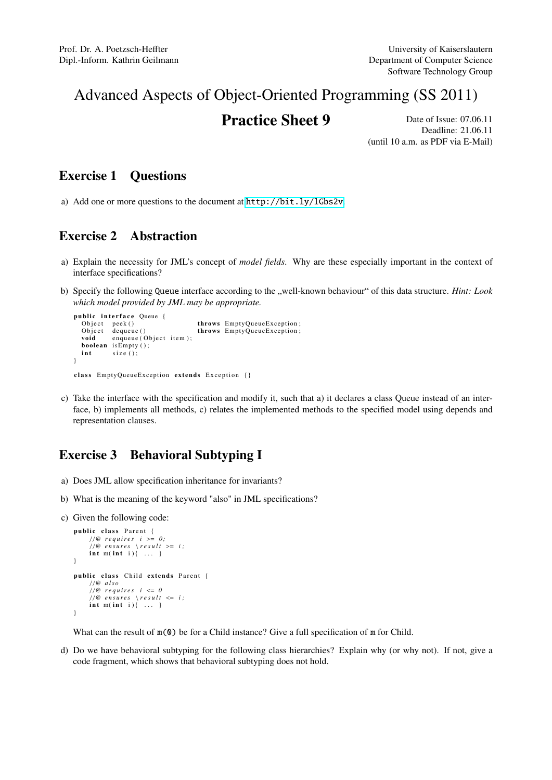# Advanced Aspects of Object-Oriented Programming (SS 2011)

## **Practice Sheet 9** Date of Issue: 07.06.11

Deadline: 21.06.11 (until 10 a.m. as PDF via E-Mail)

### Exercise 1 Questions

a) Add one or more questions to the document at <http://bit.ly/lGbs2v>.

### Exercise 2 Abstraction

- a) Explain the necessity for JML's concept of *model fields*. Why are these especially important in the context of interface specifications?
- b) Specify the following Queue interface according to the "well-known behaviour" of this data structure. *Hint: Look which model provided by JML may be appropriate.*

```
public interface Queue {
  Object peek () throws EmptyQueueException;
  Object dequeue () throws EmptyQueueException;<br>void enqueue (Object item);
           enqueue (Object item);
  boolean is Empty ();<br>int size ():
           size ( );
}
```
- class EmptyQueueException extends Exception {}
- c) Take the interface with the specification and modify it, such that a) it declares a class Queue instead of an interface, b) implements all methods, c) relates the implemented methods to the specified model using depends and representation clauses.

### Exercise 3 Behavioral Subtyping I

- a) Does JML allow specification inheritance for invariants?
- b) What is the meaning of the keyword "also" in JML specifications?
- c) Given the following code:

```
public class Parent {
       / /@ r e q u i r e s i >= 0 ;
/ /@ e n s u r e s \ r e s u l t >= i ;
      int m(int i) \ldots }
}
public class Child extends Parent {
      / /@ a l s o
      //@ requires i \leq 0//@ ensures \result <= i;<br>int m(int i){ ... }
}
```
What can the result of  $m(0)$  be for a Child instance? Give a full specification of m for Child.

d) Do we have behavioral subtyping for the following class hierarchies? Explain why (or why not). If not, give a code fragment, which shows that behavioral subtyping does not hold.